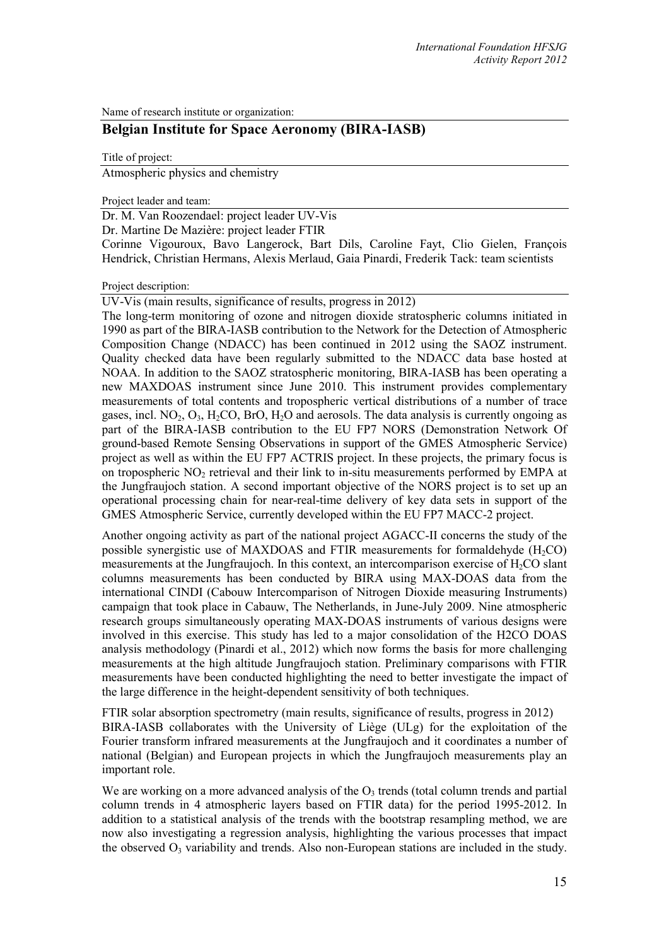Name of research institute or organization:

## **Belgian Institute for Space Aeronomy (BIRA-IASB)**

Title of project:

Atmospheric physics and chemistry

Project leader and team:

Dr. M. Van Roozendael: project leader UV-Vis

Dr. Martine De Mazière: project leader FTIR

Corinne Vigouroux, Bavo Langerock, Bart Dils, Caroline Fayt, Clio Gielen, François Hendrick, Christian Hermans, Alexis Merlaud, Gaia Pinardi, Frederik Tack: team scientists

## Project description:

UV-Vis (main results, significance of results, progress in 2012)

The long-term monitoring of ozone and nitrogen dioxide stratospheric columns initiated in 1990 as part of the BIRA-IASB contribution to the Network for the Detection of Atmospheric Composition Change (NDACC) has been continued in 2012 using the SAOZ instrument. Quality checked data have been regularly submitted to the NDACC data base hosted at NOAA. In addition to the SAOZ stratospheric monitoring, BIRA-IASB has been operating a new MAXDOAS instrument since June 2010. This instrument provides complementary measurements of total contents and tropospheric vertical distributions of a number of trace gases, incl.  $NO<sub>2</sub>, O<sub>3</sub>, H<sub>2</sub>CO, BrO, H<sub>2</sub>O$  and aerosols. The data analysis is currently ongoing as part of the BIRA-IASB contribution to the EU FP7 NORS (Demonstration Network Of ground-based Remote Sensing Observations in support of the GMES Atmospheric Service) project as well as within the EU FP7 ACTRIS project. In these projects, the primary focus is on tropospheric  $NO<sub>2</sub>$  retrieval and their link to in-situ measurements performed by EMPA at the Jungfraujoch station. A second important objective of the NORS project is to set up an operational processing chain for near-real-time delivery of key data sets in support of the GMES Atmospheric Service, currently developed within the EU FP7 MACC-2 project.

Another ongoing activity as part of the national project AGACC-II concerns the study of the possible synergistic use of MAXDOAS and FTIR measurements for formaldehyde  $(H_2CO)$ measurements at the Jungfraujoch. In this context, an intercomparison exercise of H<sub>2</sub>CO slant columns measurements has been conducted by BIRA using MAX-DOAS data from the international CINDI (Cabouw Intercomparison of Nitrogen Dioxide measuring Instruments) campaign that took place in Cabauw, The Netherlands, in June-July 2009. Nine atmospheric research groups simultaneously operating MAX-DOAS instruments of various designs were involved in this exercise. This study has led to a major consolidation of the H2CO DOAS analysis methodology (Pinardi et al., 2012) which now forms the basis for more challenging measurements at the high altitude Jungfraujoch station. Preliminary comparisons with FTIR measurements have been conducted highlighting the need to better investigate the impact of the large difference in the height-dependent sensitivity of both techniques.

FTIR solar absorption spectrometry (main results, significance of results, progress in 2012) BIRA-IASB collaborates with the University of Liège (ULg) for the exploitation of the Fourier transform infrared measurements at the Jungfraujoch and it coordinates a number of national (Belgian) and European projects in which the Jungfraujoch measurements play an important role.

<span id="page-0-0"></span>We are working on a more advanced analysis of the  $O<sub>3</sub>$  trends (total column trends and partial column trends in 4 atmospheric layers based on FTIR data) for the period 1995-2012. In addition to a statistical analysis of the trends with the bootstrap resampling method, we are now also investigating a regression analysis, highlighting the various processes that impact the observed  $O_3$  variability and trends. Also non-European stations are included in the study.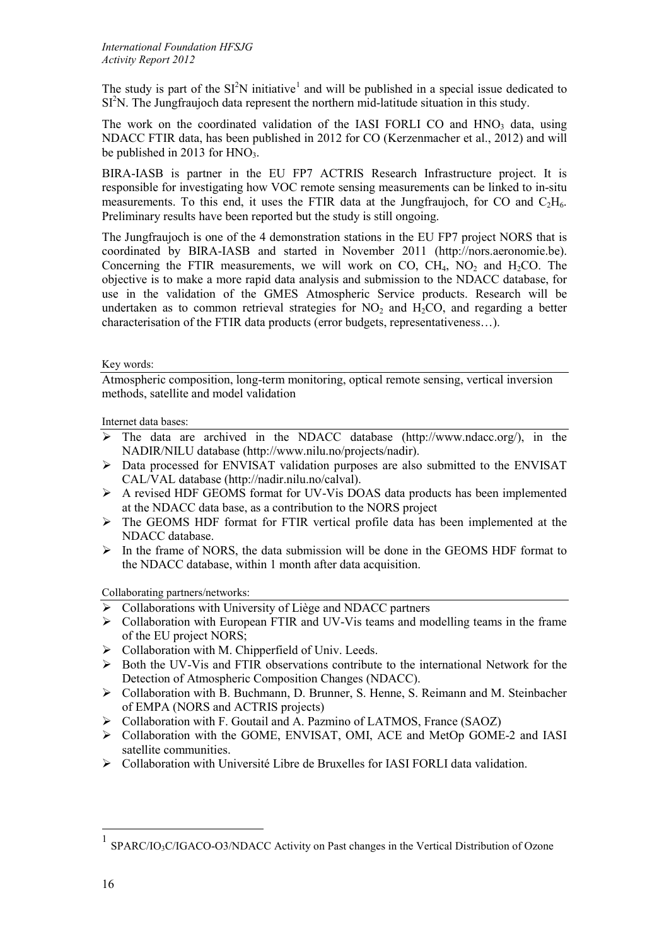The study is part of the  $SI<sup>2</sup>N$  initiative<sup>[1](#page-0-0)</sup> and will be published in a special issue dedicated to SI<sup>2</sup>N. The Jungfraujoch data represent the northern mid-latitude situation in this study.

The work on the coordinated validation of the IASI FORLI CO and  $HNO<sub>3</sub>$  data, using NDACC FTIR data, has been published in 2012 for CO (Kerzenmacher et al., 2012) and will be published in 2013 for  $HNO<sub>3</sub>$ .

BIRA-IASB is partner in the EU FP7 ACTRIS Research Infrastructure project. It is responsible for investigating how VOC remote sensing measurements can be linked to in-situ measurements. To this end, it uses the FTIR data at the Jungfraujoch, for CO and  $C_2H_6$ . Preliminary results have been reported but the study is still ongoing.

The Jungfraujoch is one of the 4 demonstration stations in the EU FP7 project NORS that is coordinated by BIRA-IASB and started in November 2011 [\(http://nors.aeronomie.be\)](http://nors.aeronomie.be/). Concerning the FTIR measurements, we will work on CO,  $CH<sub>4</sub>$ , NO<sub>2</sub> and H<sub>2</sub>CO. The objective is to make a more rapid data analysis and submission to the NDACC database, for use in the validation of the GMES Atmospheric Service products. Research will be undertaken as to common retrieval strategies for  $NO<sub>2</sub>$  and  $H<sub>2</sub>CO$ , and regarding a better characterisation of the FTIR data products (error budgets, representativeness…).

## Key words:

Atmospheric composition, long-term monitoring, optical remote sensing, vertical inversion methods, satellite and model validation

Internet data bases:

- $\triangleright$  The data are archived in the NDACC database [\(http://www.ndacc.org/\)](http://www.ndsc.ncep.noaa.gov/), in the NADIR/NILU database [\(http://www.nilu.no/projects/nadir\)](http://www.nilu.no/projects/nadir).
- $\triangleright$  Data processed for ENVISAT validation purposes are also submitted to the ENVISAT CAL/VAL database [\(http://nadir.nilu.no/calval\)](http://nadir.nilu.no/calval).
- A revised HDF GEOMS format for UV-Vis DOAS data products has been implemented at the NDACC data base, as a contribution to the NORS project
- The GEOMS HDF format for FTIR vertical profile data has been implemented at the NDACC database.
- $\triangleright$  In the frame of NORS, the data submission will be done in the GEOMS HDF format to the NDACC database, within 1 month after data acquisition.

Collaborating partners/networks:

- $\triangleright$  Collaborations with University of Liège and NDACC partners
- $\triangleright$  Collaboration with European FTIR and UV-Vis teams and modelling teams in the frame of the EU project NORS;
- $\triangleright$  Collaboration with M. Chipperfield of Univ. Leeds.
- $\triangleright$  Both the UV-Vis and FTIR observations contribute to the international Network for the Detection of Atmospheric Composition Changes (NDACC).
- Collaboration with B. Buchmann, D. Brunner, S. Henne, S. Reimann and M. Steinbacher of EMPA (NORS and ACTRIS projects)
- Collaboration with F. Goutail and A. Pazmino of LATMOS, France (SAOZ)
- Collaboration with the GOME, ENVISAT, OMI, ACE and MetOp GOME-2 and IASI satellite communities.
- $\triangleright$  Collaboration with Université Libre de Bruxelles for IASI FORLI data validation.

 $1$  SPARC/IO<sub>3</sub>C/IGACO-O3/NDACC Activity on Past changes in the Vertical Distribution of Ozone